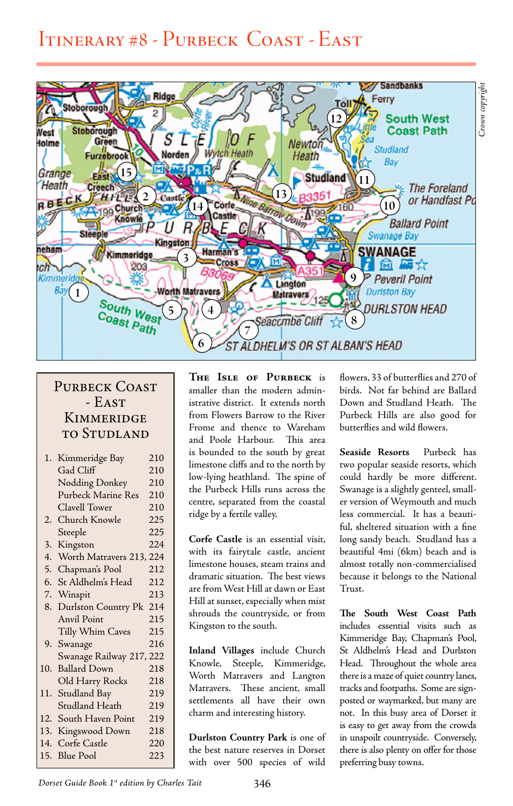## Itinerary #8 - Purbeck Coast - East



## PURBECK COAST - East **KIMMERIDGE** to Studland

| 1.  | Kimmeridge Bay           | 210 |
|-----|--------------------------|-----|
|     | Gad Cliff                | 210 |
|     | Nodding Donkey           | 210 |
|     | Purbeck Marine Res       | 210 |
|     | Clavell Tower            | 210 |
| 2.  | Church Knowle            | 225 |
|     | Steeple                  | 225 |
| 3.  | Kingston                 | 224 |
| 4.  | Worth Matravers 213, 224 |     |
| 5.  | Chapman's Pool           | 212 |
| 6.  | St Aldhelm's Head        | 212 |
|     | 7. Winspit               | 213 |
| 8.  | Durlston Country Pk      | 214 |
|     | Anvil Point              | 215 |
|     | Tilly Whim Caves         | 215 |
|     | 9. Swanage               | 216 |
|     | Swanage Railway 217, 222 |     |
| 10. | <b>Ballard Down</b>      | 218 |
|     | Old Harry Rocks          | 218 |
| 11. | Studland Bay             | 219 |
|     | Studland Heath           | 219 |
|     | 12. South Haven Point    | 219 |
|     | 13. Kingswood Down       | 218 |
|     | 14. Corfe Castle         | 220 |
| 15. | <b>Blue Pool</b>         | 223 |
|     |                          |     |

**The Isle of Purbeck** is smaller than the modern administrative district. It extends north from Flowers Barrow to the River Frome and thence to Wareham and Poole Harbour. This area is bounded to the south by great limestone cliffs and to the north by low-lying heathland. The spine of the Purbeck Hills runs across the centre, separated from the coastal ridge by a fertile valley.

**Corfe Castle** is an essential visit, with its fairytale castle, ancient limestone houses, steam trains and dramatic situation. The best views are from West Hill at dawn or East Hill at sunset, especially when mist shrouds the countryside, or from Kingston to the south.

**Inland Villages** include Church Knowle, Steeple, Kimmeridge, Worth Matravers and Langton Matravers. These ancient, small settlements all have their own charm and interesting history.

**Durlston Country Park** is one of the best nature reserves in Dorset with over 500 species of wild

flowers, 33 of butterflies and 270 of birds. Not far behind are Ballard Down and Studland Heath. The Purbeck Hills are also good for butterflies and wild flowers.

**Seaside Resorts** Purbeck has two popular seaside resorts, which could hardly be more different. Swanage is a slightly genteel, smaller version of Weymouth and much less commercial. It has a beautiful, sheltered situation with a fine long sandy beach. Studland has a beautiful 4mi (6km) beach and is almost totally non-commercialised because it belongs to the National Trust.

**The South West Coast Path** includes essential visits such as Kimmeridge Bay, Chapman's Pool, St Aldhelm's Head and Durlston Head. Throughout the whole area there is a maze of quiet country lanes, tracks and footpaths. Some are signposted or waymarked, but many are not. In this busy area of Dorset it is easy to get away from the crowds in unspoilt countryside. Conversely, there is also plenty on offer for those preferring busy towns.